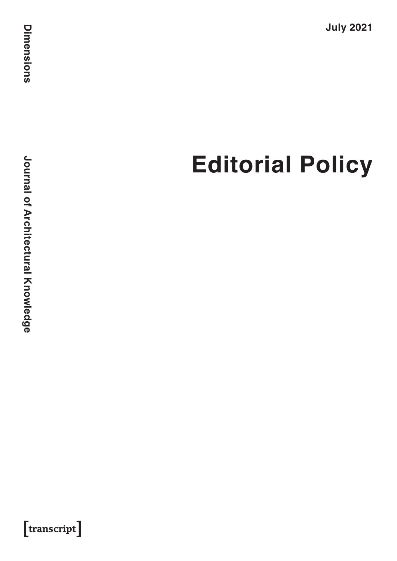**July 2021**

# **Editorial Policy**

**Journal of Architectural Knowledge Journal of Architectural Knowledge**

 $[$ transcript $]$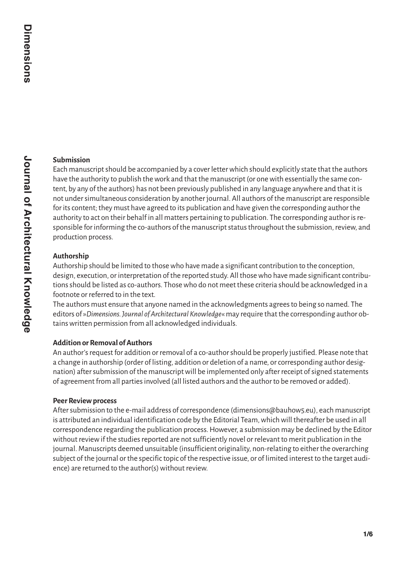# **Submission**

Each manuscript should be accompanied by a cover letter which should explicitly state that the authors have the authority to publish the work and that the manuscript (or one with essentially the same content, by any of the authors) has not been previously published in any language anywhere and that it is not under simultaneous consideration by another journal. All authors of the manuscript are responsible for its content; they must have agreed to its publication and have given the corresponding author the authority to act on their behalf in all matters pertaining to publication. The corresponding author is responsible for informing the co-authors of the manuscript status throughout the submission, review, and production process.

# **Authorship**

Authorship should be limited to those who have made a significant contribution to the conception, design, execution, or interpretation of the reported study. All those who have made significant contributions should be listed as co-authors. Those who do not meet these criteria should be acknowledged in a footnote or referred to in the text.

The authors must ensure that anyone named in the acknowledgments agrees to being so named. The editors of »*Dimensions. Journal of Architectural Knowledge*« may require that the corresponding author obtains written permission from all acknowledged individuals.

# **Addition or Removal of Authors**

An author's request for addition or removal of a co-author should be properly justified. Please note that a change in authorship (order of listing, addition or deletion of a name, or corresponding author designation) after submission of the manuscript will be implemented only after receipt of signed statements of agreement from all parties involved (all listed authors and the author to be removed or added).

# **Peer Review process**

After submission to the e-mail address of correspondence (dimensions@bauhow5.eu), each manuscript is attributed an individual identification code by the Editorial Team, which will thereafter be used in all correspondence regarding the publication process. However, a submission may be declined by the Editor without review if the studies reported are not sufficiently novel or relevant to merit publication in the journal. Manuscripts deemed unsuitable (insufficient originality, non-relating to either the overarching subject of the journal or the specific topic of the respective issue, or of limited interest to the target audience) are returned to the author(s) without review.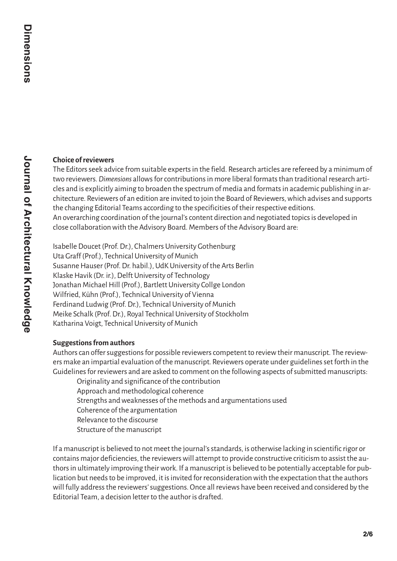# **Choice of reviewers**

The Editors seek advice from suitable experts in the field. Research articles are refereed by a minimum of two reviewers. *Dimensions* allows for contributions in more liberal formats than traditional research articles and is explicitly aiming to broaden the spectrum of media and formats in academic publishing in architecture. Reviewers of an edition are invited to join the Board of Reviewers, which advises and supports the changing Editorial Teams according to the specificities of their respective editions. An overarching coordination of the journal's content direction and negotiated topics is developed in close collaboration with the Advisory Board. Members of the Advisory Board are:

Isabelle Doucet (Prof. Dr.), Chalmers University Gothenburg Uta Graff (Prof.), Technical University of Munich Susanne Hauser (Prof. Dr. habil.), UdK University of the Arts Berlin Klaske Havik (Dr. ir.), Delft University of Technology Jonathan Michael Hill (Prof.), Bartlett University Collge London Wilfried, Kühn (Prof.), Technical University of Vienna Ferdinand Ludwig (Prof. Dr.), Technical University of Munich Meike Schalk (Prof. Dr.), Royal Technical University of Stockholm Katharina Voigt, Technical University of Munich

# **Suggestions from authors**

Authors can offer suggestions for possible reviewers competent to review their manuscript. The reviewers make an impartial evaluation of the manuscript. Reviewers operate under guidelines set forth in the Guidelines for reviewers and are asked to comment on the following aspects of submitted manuscripts:

Originality and significance of the contribution Approach and methodological coherence Strengths and weaknesses of the methods and argumentations used Coherence of the argumentation Relevance to the discourse Structure of the manuscript

If a manuscript is believed to not meet the journal's standards, is otherwise lacking in scientific rigor or contains major deficiencies, the reviewers will attempt to provide constructive criticism to assist the authors in ultimately improving their work. If a manuscript is believed to be potentially acceptable for publication but needs to be improved, it is invited for reconsideration with the expectation that the authors will fully address the reviewers' suggestions. Once all reviews have been received and considered by the Editorial Team, a decision letter to the author is drafted.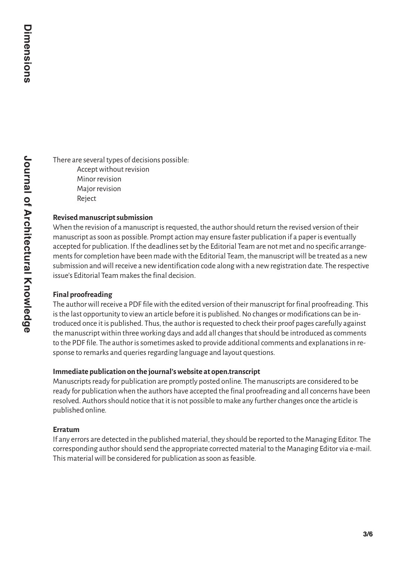There are several types of decisions possible: Accept without revision Minor revision Major revision Reject

#### **Revised manuscript submission**

When the revision of a manuscript is requested, the author should return the revised version of their manuscript as soon as possible. Prompt action may ensure faster publication if a paper is eventually accepted for publication. If the deadlines set by the Editorial Team are not met and no specific arrangements for completion have been made with the Editorial Team, the manuscript will be treated as a new submission and will receive a new identification code along with a new registration date. The respective issue's Editorial Team makes the final decision.

#### **Final proofreading**

The author will receive a PDF file with the edited version of their manuscript for final proofreading. This is the last opportunity to view an article before it is published. No changes or modifications can be introduced once it is published. Thus, the author is requested to check their proof pages carefully against the manuscript within three working days and add all changes that should be introduced as comments to the PDF file. The author is sometimes asked to provide additional comments and explanations in response to remarks and queries regarding language and layout questions.

#### **Immediate publication on the journal's website at open.transcript**

Manuscripts ready for publication are promptly posted online. The manuscripts are considered to be ready for publication when the authors have accepted the final proofreading and all concerns have been resolved. Authors should notice that it is not possible to make any further changes once the article is published online.

#### **Erratum**

If any errors are detected in the published material, they should be reported to the Managing Editor. The corresponding author should send the appropriate corrected material to the Managing Editor via e-mail. This material will be considered for publication as soon as feasible.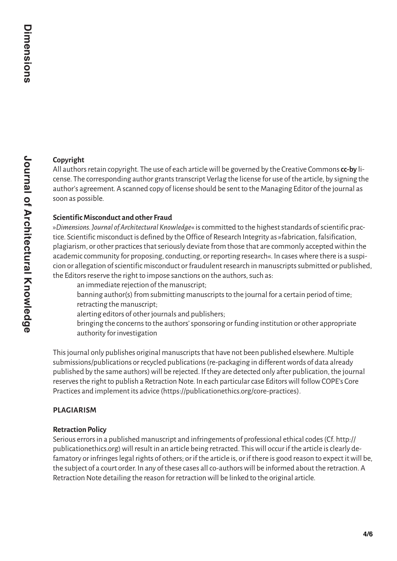# **Copyright**

All authors retain copyright. The use of each article will be governed by the Creative Commons **cc-by** license. The corresponding author grants transcript Verlag the license for use of the article, by signing the author's agreement. A scanned copy of license should be sent to the Managing Editor of the journal as soon as possible.

# **Scientific Misconduct and other Fraud**

»*Dimensions. Journal of Architectural Knowledge*« is committed to the highest standards of scientific practice. Scientific misconduct is defined by the Office of Research Integrity as »fabrication, falsification, plagiarism, or other practices that seriously deviate from those that are commonly accepted within the academic community for proposing, conducting, or reporting research«. In cases where there is a suspicion or allegation of scientific misconduct or fraudulent research in manuscripts submitted or published, the Editors reserve the right to impose sanctions on the authors, such as:

an immediate rejection of the manuscript;

banning author(s) from submitting manuscripts to the journal for a certain period of time; retracting the manuscript;

alerting editors of other journals and publishers;

bringing the concerns to the authors' sponsoring or funding institution or other appropriate authority for investigation

This journal only publishes original manuscripts that have not been published elsewhere. Multiple submissions/publications or recycled publications (re-packaging in different words of data already published by the same authors) will be rejected. If they are detected only after publication, the journal reserves the right to publish a Retraction Note. In each particular case Editors will follow COPE's Core Practices and implement its advice (https://publicationethics.org/core-practices).

# **PLAGIARISM**

# **Retraction Policy**

Serious errors in a published manuscript and infringements of professional ethical codes (Cf. http:// publicationethics.org) will result in an article being retracted. This will occur if the article is clearly defamatory or infringes legal rights of others; or if the article is, or if there is good reason to expect it will be, the subject of a court order. In any of these cases all co-authors will be informed about the retraction. A Retraction Note detailing the reason for retraction will be linked to the original article.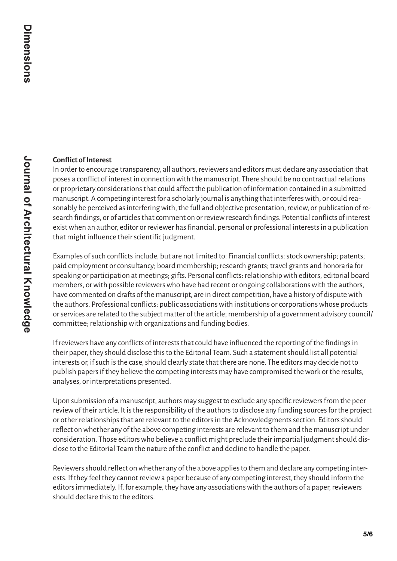# **Conflict of Interest**

In order to encourage transparency, all authors, reviewers and editors must declare any association that poses a conflict of interest in connection with the manuscript. There should be no contractual relations or proprietary considerations that could affect the publication of information contained in a submitted manuscript. A competing interest for a scholarly journal is anything that interferes with, or could reasonably be perceived as interfering with, the full and objective presentation, review, or publication of research findings, or of articles that comment on or review research findings. Potential conflicts of interest exist when an author, editor or reviewer has financial, personal or professional interests in a publication that might influence their scientific judgment.

Examples of such conflicts include, but are not limited to: Financial conflicts: stock ownership; patents; paid employment or consultancy; board membership; research grants; travel grants and honoraria for speaking or participation at meetings; gifts. Personal conflicts: relationship with editors, editorial board members, or with possible reviewers who have had recent or ongoing collaborations with the authors, have commented on drafts of the manuscript, are in direct competition, have a history of dispute with the authors. Professional conflicts: public associations with institutions or corporations whose products or services are related to the subject matter of the article; membership of a government advisory council/ committee; relationship with organizations and funding bodies.

If reviewers have any conflicts of interests that could have influenced the reporting of the findings in their paper, they should disclose this to the Editorial Team. Such a statement should list all potential interests or, if such is the case, should clearly state that there are none. The editors may decide not to publish papers if they believe the competing interests may have compromised the work or the results, analyses, or interpretations presented.

Upon submission of a manuscript, authors may suggest to exclude any specific reviewers from the peer review of their article. It is the responsibility of the authors to disclose any funding sources for the project or other relationships that are relevant to the editors in the Acknowledgments section. Editors should reflect on whether any of the above competing interests are relevant to them and the manuscript under consideration. Those editors who believe a conflict might preclude their impartial judgment should disclose to the Editorial Team the nature of the conflict and decline to handle the paper.

Reviewers should reflect on whether any of the above applies to them and declare any competing interests. If they feel they cannot review a paper because of any competing interest, they should inform the editors immediately. If, for example, they have any associations with the authors of a paper, reviewers should declare this to the editors.